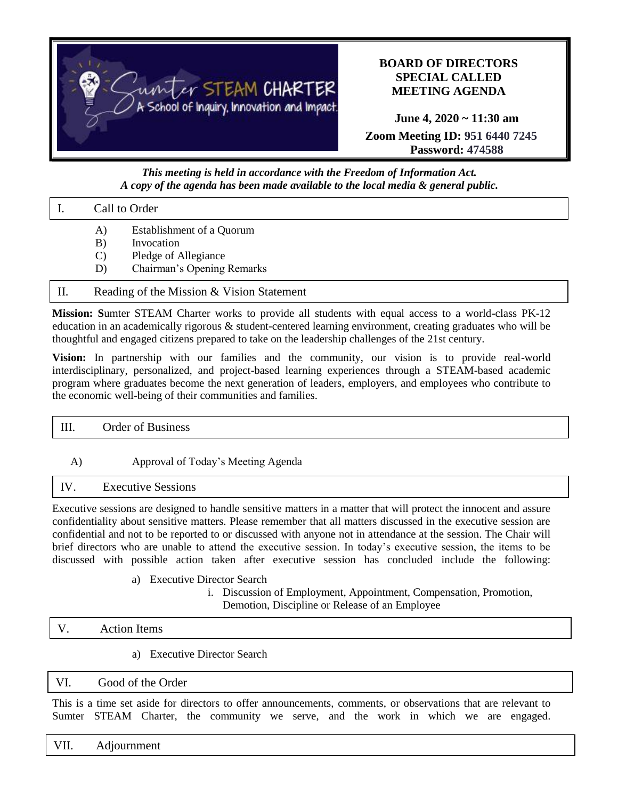

# **BOARD OF DIRECTORS SPECIAL CALLED MEETING AGENDA**

**June 4, 2020 ~ 11:30 am Zoom Meeting ID: 951 6440 7245 Password: 474588**

## *This meeting is held in accordance with the Freedom of Information Act. A copy of the agenda has been made available to the local media & general public.*

#### I. Call to Order

- A) Establishment of a Quorum
- B) Invocation
- C) Pledge of Allegiance
- D) Chairman's Opening Remarks

## II. Reading of the Mission & Vision Statement

**Mission: S**umter STEAM Charter works to provide all students with equal access to a world-class PK-12 education in an academically rigorous & student-centered learning environment, creating graduates who will be thoughtful and engaged citizens prepared to take on the leadership challenges of the 21st century.

**Vision:** In partnership with our families and the community, our vision is to provide real-world interdisciplinary, personalized, and project-based learning experiences through a STEAM-based academic program where graduates become the next generation of leaders, employers, and employees who contribute to the economic well-being of their communities and families.

| T<br> | Order<br>$\sim$<br><b>DUSILIESS</b><br><u>vi</u> |
|-------|--------------------------------------------------|
|       |                                                  |

## A) Approval of Today's Meeting Agenda

## IV. Executive Sessions

Executive sessions are designed to handle sensitive matters in a matter that will protect the innocent and assure confidentiality about sensitive matters. Please remember that all matters discussed in the executive session are confidential and not to be reported to or discussed with anyone not in attendance at the session. The Chair will brief directors who are unable to attend the executive session. In today's executive session, the items to be discussed with possible action taken after executive session has concluded include the following:

## a) Executive Director Search

i. Discussion of Employment, Appointment, Compensation, Promotion, Demotion, Discipline or Release of an Employee

#### V. Action Items

a) Executive Director Search

## VI. Good of the Order

This is a time set aside for directors to offer announcements, comments, or observations that are relevant to Sumter STEAM Charter, the community we serve, and the work in which we are engaged.

VII. Adjournment